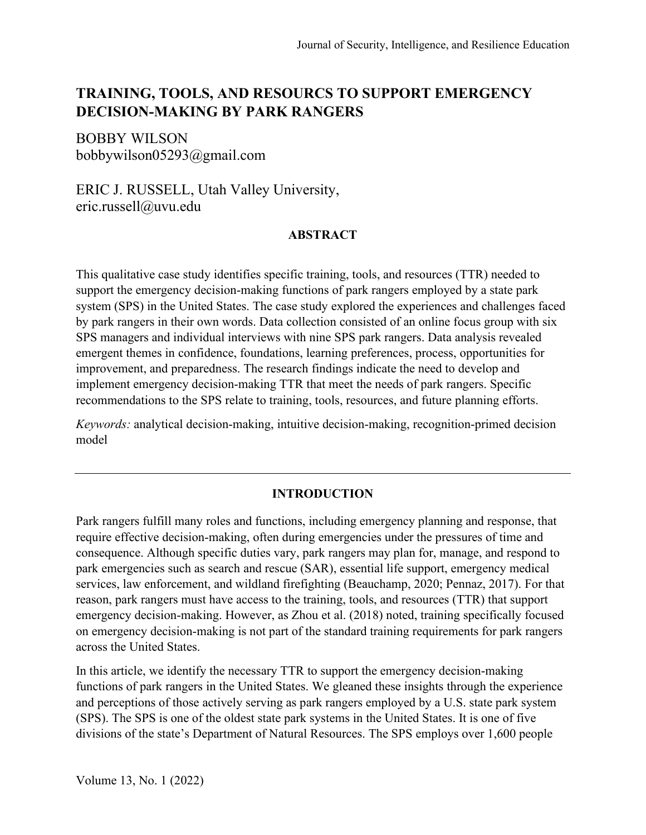# **TRAINING, TOOLS, AND RESOURCS TO SUPPORT EMERGENCY DECISION-MAKING BY PARK RANGERS**

BOBBY WILSON bobbywilson05293@gmail.com

ERIC J. RUSSELL, Utah Valley University, eric.russell@uvu.edu

#### **ABSTRACT**

This qualitative case study identifies specific training, tools, and resources (TTR) needed to support the emergency decision-making functions of park rangers employed by a state park system (SPS) in the United States. The case study explored the experiences and challenges faced by park rangers in their own words. Data collection consisted of an online focus group with six SPS managers and individual interviews with nine SPS park rangers. Data analysis revealed emergent themes in confidence, foundations, learning preferences, process, opportunities for improvement, and preparedness. The research findings indicate the need to develop and implement emergency decision-making TTR that meet the needs of park rangers. Specific recommendations to the SPS relate to training, tools, resources, and future planning efforts.

*Keywords:* analytical decision-making, intuitive decision-making, recognition-primed decision model

# **INTRODUCTION**

Park rangers fulfill many roles and functions, including emergency planning and response, that require effective decision-making, often during emergencies under the pressures of time and consequence. Although specific duties vary, park rangers may plan for, manage, and respond to park emergencies such as search and rescue (SAR), essential life support, emergency medical services, law enforcement, and wildland firefighting (Beauchamp, 2020; Pennaz, 2017). For that reason, park rangers must have access to the training, tools, and resources (TTR) that support emergency decision-making. However, as Zhou et al. (2018) noted, training specifically focused on emergency decision-making is not part of the standard training requirements for park rangers across the United States.

In this article, we identify the necessary TTR to support the emergency decision-making functions of park rangers in the United States. We gleaned these insights through the experience and perceptions of those actively serving as park rangers employed by a U.S. state park system (SPS). The SPS is one of the oldest state park systems in the United States. It is one of five divisions of the state's Department of Natural Resources. The SPS employs over 1,600 people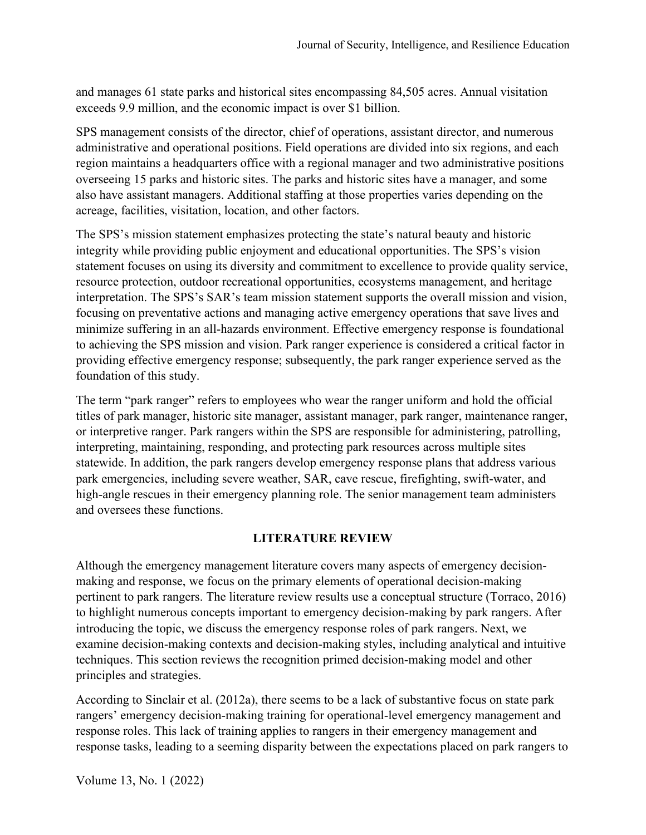and manages 61 state parks and historical sites encompassing 84,505 acres. Annual visitation exceeds 9.9 million, and the economic impact is over \$1 billion.

SPS management consists of the director, chief of operations, assistant director, and numerous administrative and operational positions. Field operations are divided into six regions, and each region maintains a headquarters office with a regional manager and two administrative positions overseeing 15 parks and historic sites. The parks and historic sites have a manager, and some also have assistant managers. Additional staffing at those properties varies depending on the acreage, facilities, visitation, location, and other factors.

The SPS's mission statement emphasizes protecting the state's natural beauty and historic integrity while providing public enjoyment and educational opportunities. The SPS's vision statement focuses on using its diversity and commitment to excellence to provide quality service, resource protection, outdoor recreational opportunities, ecosystems management, and heritage interpretation. The SPS's SAR's team mission statement supports the overall mission and vision, focusing on preventative actions and managing active emergency operations that save lives and minimize suffering in an all-hazards environment. Effective emergency response is foundational to achieving the SPS mission and vision. Park ranger experience is considered a critical factor in providing effective emergency response; subsequently, the park ranger experience served as the foundation of this study.

The term "park ranger" refers to employees who wear the ranger uniform and hold the official titles of park manager, historic site manager, assistant manager, park ranger, maintenance ranger, or interpretive ranger. Park rangers within the SPS are responsible for administering, patrolling, interpreting, maintaining, responding, and protecting park resources across multiple sites statewide. In addition, the park rangers develop emergency response plans that address various park emergencies, including severe weather, SAR, cave rescue, firefighting, swift-water, and high-angle rescues in their emergency planning role. The senior management team administers and oversees these functions.

# **LITERATURE REVIEW**

Although the emergency management literature covers many aspects of emergency decisionmaking and response, we focus on the primary elements of operational decision-making pertinent to park rangers. The literature review results use a conceptual structure (Torraco, 2016) to highlight numerous concepts important to emergency decision-making by park rangers. After introducing the topic, we discuss the emergency response roles of park rangers. Next, we examine decision-making contexts and decision-making styles, including analytical and intuitive techniques. This section reviews the recognition primed decision-making model and other principles and strategies.

According to Sinclair et al. (2012a), there seems to be a lack of substantive focus on state park rangers' emergency decision-making training for operational-level emergency management and response roles. This lack of training applies to rangers in their emergency management and response tasks, leading to a seeming disparity between the expectations placed on park rangers to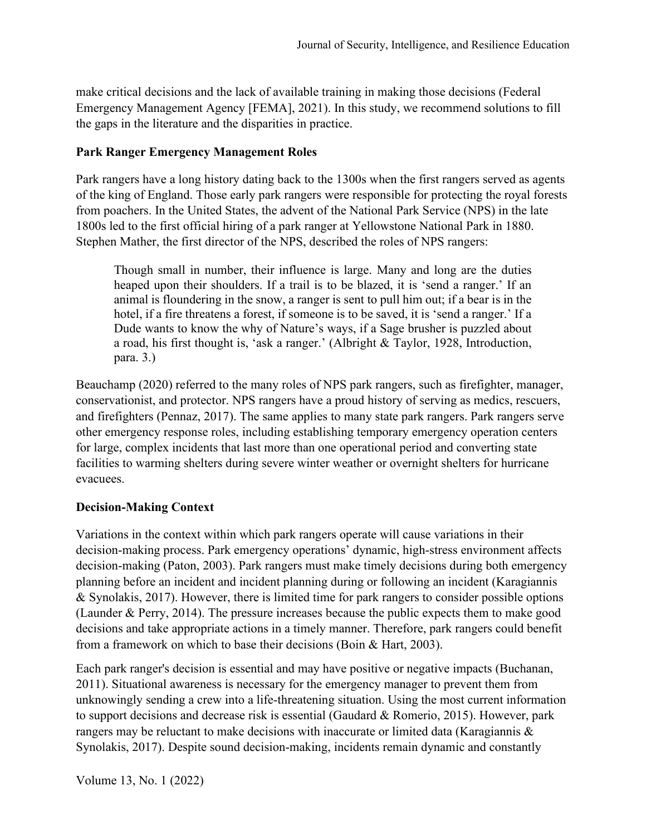make critical decisions and the lack of available training in making those decisions (Federal Emergency Management Agency [FEMA], 2021). In this study, we recommend solutions to fill the gaps in the literature and the disparities in practice.

## **Park Ranger Emergency Management Roles**

Park rangers have a long history dating back to the 1300s when the first rangers served as agents of the king of England. Those early park rangers were responsible for protecting the royal forests from poachers. In the United States, the advent of the National Park Service (NPS) in the late 1800s led to the first official hiring of a park ranger at Yellowstone National Park in 1880. Stephen Mather, the first director of the NPS, described the roles of NPS rangers:

Though small in number, their influence is large. Many and long are the duties heaped upon their shoulders. If a trail is to be blazed, it is 'send a ranger.' If an animal is floundering in the snow, a ranger is sent to pull him out; if a bear is in the hotel, if a fire threatens a forest, if someone is to be saved, it is 'send a ranger.' If a Dude wants to know the why of Nature's ways, if a Sage brusher is puzzled about a road, his first thought is, 'ask a ranger.' (Albright & Taylor, 1928, Introduction, para. 3.)

Beauchamp (2020) referred to the many roles of NPS park rangers, such as firefighter, manager, conservationist, and protector. NPS rangers have a proud history of serving as medics, rescuers, and firefighters (Pennaz, 2017). The same applies to many state park rangers. Park rangers serve other emergency response roles, including establishing temporary emergency operation centers for large, complex incidents that last more than one operational period and converting state facilities to warming shelters during severe winter weather or overnight shelters for hurricane evacuees.

# **Decision-Making Context**

Variations in the context within which park rangers operate will cause variations in their decision-making process. Park emergency operations' dynamic, high-stress environment affects decision-making (Paton, 2003). Park rangers must make timely decisions during both emergency planning before an incident and incident planning during or following an incident (Karagiannis & Synolakis, 2017). However, there is limited time for park rangers to consider possible options (Launder & Perry, 2014). The pressure increases because the public expects them to make good decisions and take appropriate actions in a timely manner. Therefore, park rangers could benefit from a framework on which to base their decisions (Boin & Hart, 2003).

Each park ranger's decision is essential and may have positive or negative impacts (Buchanan, 2011). Situational awareness is necessary for the emergency manager to prevent them from unknowingly sending a crew into a life-threatening situation. Using the most current information to support decisions and decrease risk is essential (Gaudard & Romerio, 2015). However, park rangers may be reluctant to make decisions with inaccurate or limited data (Karagiannis & Synolakis, 2017). Despite sound decision-making, incidents remain dynamic and constantly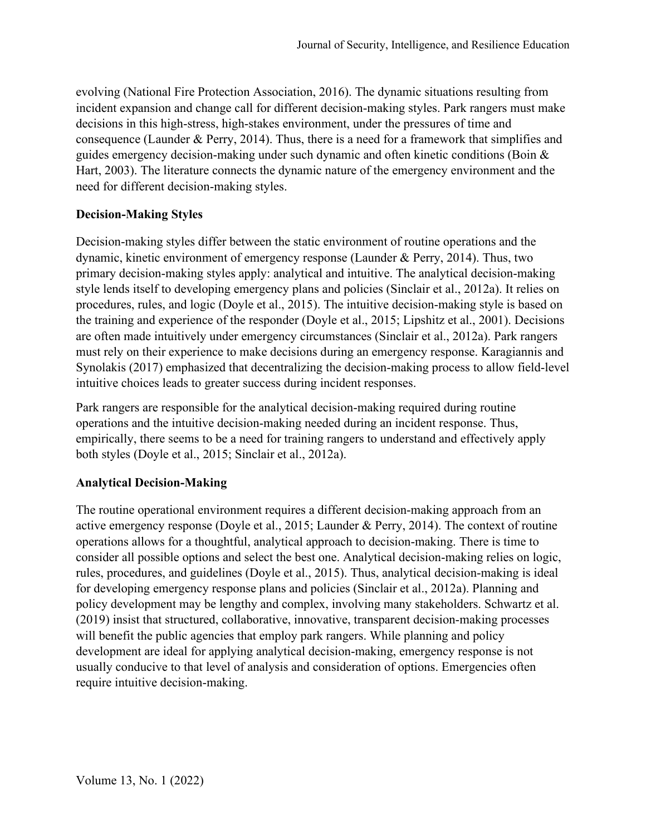evolving (National Fire Protection Association, 2016). The dynamic situations resulting from incident expansion and change call for different decision-making styles. Park rangers must make decisions in this high-stress, high-stakes environment, under the pressures of time and consequence (Launder & Perry, 2014). Thus, there is a need for a framework that simplifies and guides emergency decision-making under such dynamic and often kinetic conditions (Boin & Hart, 2003). The literature connects the dynamic nature of the emergency environment and the need for different decision-making styles.

# **Decision-Making Styles**

Decision-making styles differ between the static environment of routine operations and the dynamic, kinetic environment of emergency response (Launder & Perry, 2014). Thus, two primary decision-making styles apply: analytical and intuitive. The analytical decision-making style lends itself to developing emergency plans and policies (Sinclair et al., 2012a). It relies on procedures, rules, and logic (Doyle et al., 2015). The intuitive decision-making style is based on the training and experience of the responder (Doyle et al., 2015; Lipshitz et al., 2001). Decisions are often made intuitively under emergency circumstances (Sinclair et al., 2012a). Park rangers must rely on their experience to make decisions during an emergency response. Karagiannis and Synolakis (2017) emphasized that decentralizing the decision-making process to allow field-level intuitive choices leads to greater success during incident responses.

Park rangers are responsible for the analytical decision-making required during routine operations and the intuitive decision-making needed during an incident response. Thus, empirically, there seems to be a need for training rangers to understand and effectively apply both styles (Doyle et al., 2015; Sinclair et al., 2012a).

# **Analytical Decision-Making**

The routine operational environment requires a different decision-making approach from an active emergency response (Doyle et al., 2015; Launder & Perry, 2014). The context of routine operations allows for a thoughtful, analytical approach to decision-making. There is time to consider all possible options and select the best one. Analytical decision-making relies on logic, rules, procedures, and guidelines (Doyle et al., 2015). Thus, analytical decision-making is ideal for developing emergency response plans and policies (Sinclair et al., 2012a). Planning and policy development may be lengthy and complex, involving many stakeholders. Schwartz et al. (2019) insist that structured, collaborative, innovative, transparent decision-making processes will benefit the public agencies that employ park rangers. While planning and policy development are ideal for applying analytical decision-making, emergency response is not usually conducive to that level of analysis and consideration of options. Emergencies often require intuitive decision-making.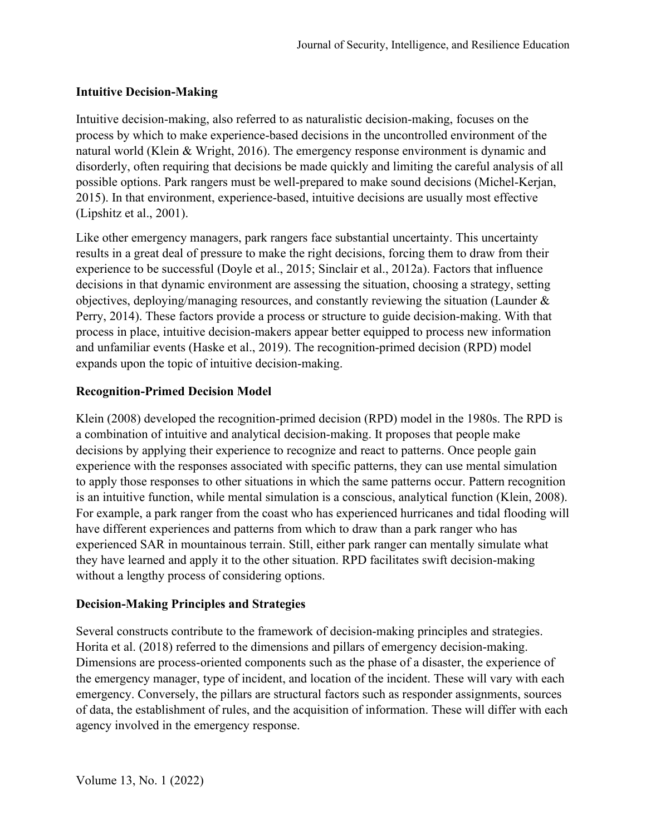# **Intuitive Decision-Making**

Intuitive decision-making, also referred to as naturalistic decision-making, focuses on the process by which to make experience-based decisions in the uncontrolled environment of the natural world (Klein & Wright, 2016). The emergency response environment is dynamic and disorderly, often requiring that decisions be made quickly and limiting the careful analysis of all possible options. Park rangers must be well-prepared to make sound decisions (Michel-Kerjan, 2015). In that environment, experience-based, intuitive decisions are usually most effective (Lipshitz et al., 2001).

Like other emergency managers, park rangers face substantial uncertainty. This uncertainty results in a great deal of pressure to make the right decisions, forcing them to draw from their experience to be successful (Doyle et al., 2015; Sinclair et al., 2012a). Factors that influence decisions in that dynamic environment are assessing the situation, choosing a strategy, setting objectives, deploying/managing resources, and constantly reviewing the situation (Launder & Perry, 2014). These factors provide a process or structure to guide decision-making. With that process in place, intuitive decision-makers appear better equipped to process new information and unfamiliar events (Haske et al., 2019). The recognition-primed decision (RPD) model expands upon the topic of intuitive decision-making.

# **Recognition-Primed Decision Model**

Klein (2008) developed the recognition-primed decision (RPD) model in the 1980s. The RPD is a combination of intuitive and analytical decision-making. It proposes that people make decisions by applying their experience to recognize and react to patterns. Once people gain experience with the responses associated with specific patterns, they can use mental simulation to apply those responses to other situations in which the same patterns occur. Pattern recognition is an intuitive function, while mental simulation is a conscious, analytical function (Klein, 2008). For example, a park ranger from the coast who has experienced hurricanes and tidal flooding will have different experiences and patterns from which to draw than a park ranger who has experienced SAR in mountainous terrain. Still, either park ranger can mentally simulate what they have learned and apply it to the other situation. RPD facilitates swift decision-making without a lengthy process of considering options.

#### **Decision-Making Principles and Strategies**

Several constructs contribute to the framework of decision-making principles and strategies. Horita et al. (2018) referred to the dimensions and pillars of emergency decision-making. Dimensions are process-oriented components such as the phase of a disaster, the experience of the emergency manager, type of incident, and location of the incident. These will vary with each emergency. Conversely, the pillars are structural factors such as responder assignments, sources of data, the establishment of rules, and the acquisition of information. These will differ with each agency involved in the emergency response.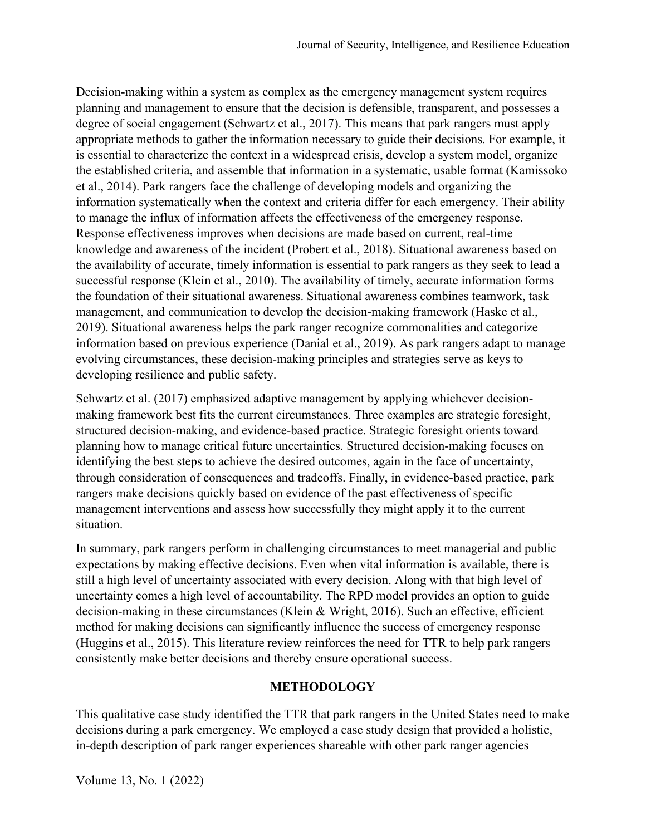Decision-making within a system as complex as the emergency management system requires planning and management to ensure that the decision is defensible, transparent, and possesses a degree of social engagement (Schwartz et al., 2017). This means that park rangers must apply appropriate methods to gather the information necessary to guide their decisions. For example, it is essential to characterize the context in a widespread crisis, develop a system model, organize the established criteria, and assemble that information in a systematic, usable format (Kamissoko et al., 2014). Park rangers face the challenge of developing models and organizing the information systematically when the context and criteria differ for each emergency. Their ability to manage the influx of information affects the effectiveness of the emergency response. Response effectiveness improves when decisions are made based on current, real-time knowledge and awareness of the incident (Probert et al., 2018). Situational awareness based on the availability of accurate, timely information is essential to park rangers as they seek to lead a successful response (Klein et al., 2010). The availability of timely, accurate information forms the foundation of their situational awareness. Situational awareness combines teamwork, task management, and communication to develop the decision-making framework (Haske et al., 2019). Situational awareness helps the park ranger recognize commonalities and categorize information based on previous experience (Danial et al., 2019). As park rangers adapt to manage evolving circumstances, these decision-making principles and strategies serve as keys to developing resilience and public safety.

Schwartz et al. (2017) emphasized adaptive management by applying whichever decisionmaking framework best fits the current circumstances. Three examples are strategic foresight, structured decision-making, and evidence-based practice. Strategic foresight orients toward planning how to manage critical future uncertainties. Structured decision-making focuses on identifying the best steps to achieve the desired outcomes, again in the face of uncertainty, through consideration of consequences and tradeoffs. Finally, in evidence-based practice, park rangers make decisions quickly based on evidence of the past effectiveness of specific management interventions and assess how successfully they might apply it to the current situation.

In summary, park rangers perform in challenging circumstances to meet managerial and public expectations by making effective decisions. Even when vital information is available, there is still a high level of uncertainty associated with every decision. Along with that high level of uncertainty comes a high level of accountability. The RPD model provides an option to guide decision-making in these circumstances (Klein & Wright, 2016). Such an effective, efficient method for making decisions can significantly influence the success of emergency response (Huggins et al., 2015). This literature review reinforces the need for TTR to help park rangers consistently make better decisions and thereby ensure operational success.

# **METHODOLOGY**

This qualitative case study identified the TTR that park rangers in the United States need to make decisions during a park emergency. We employed a case study design that provided a holistic, in-depth description of park ranger experiences shareable with other park ranger agencies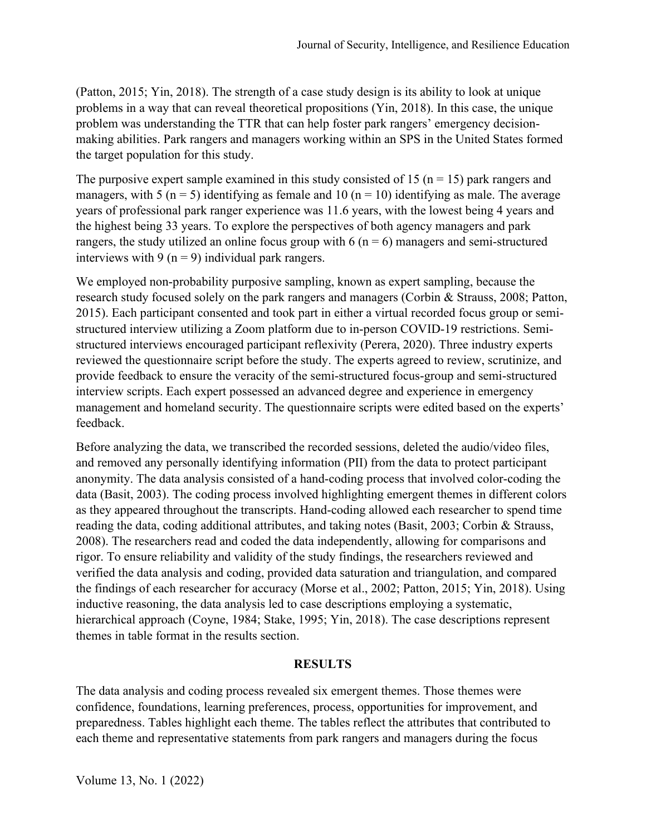(Patton, 2015; Yin, 2018). The strength of a case study design is its ability to look at unique problems in a way that can reveal theoretical propositions (Yin, 2018). In this case, the unique problem was understanding the TTR that can help foster park rangers' emergency decisionmaking abilities. Park rangers and managers working within an SPS in the United States formed the target population for this study.

The purposive expert sample examined in this study consisted of 15 ( $n = 15$ ) park rangers and managers, with 5 ( $n = 5$ ) identifying as female and 10 ( $n = 10$ ) identifying as male. The average years of professional park ranger experience was 11.6 years, with the lowest being 4 years and the highest being 33 years. To explore the perspectives of both agency managers and park rangers, the study utilized an online focus group with  $6 (n = 6)$  managers and semi-structured interviews with 9 ( $n = 9$ ) individual park rangers.

We employed non-probability purposive sampling, known as expert sampling, because the research study focused solely on the park rangers and managers (Corbin & Strauss, 2008; Patton, 2015). Each participant consented and took part in either a virtual recorded focus group or semistructured interview utilizing a Zoom platform due to in-person COVID-19 restrictions. Semistructured interviews encouraged participant reflexivity (Perera, 2020). Three industry experts reviewed the questionnaire script before the study. The experts agreed to review, scrutinize, and provide feedback to ensure the veracity of the semi-structured focus-group and semi-structured interview scripts. Each expert possessed an advanced degree and experience in emergency management and homeland security. The questionnaire scripts were edited based on the experts' feedback.

Before analyzing the data, we transcribed the recorded sessions, deleted the audio/video files, and removed any personally identifying information (PII) from the data to protect participant anonymity. The data analysis consisted of a hand-coding process that involved color-coding the data (Basit, 2003). The coding process involved highlighting emergent themes in different colors as they appeared throughout the transcripts. Hand-coding allowed each researcher to spend time reading the data, coding additional attributes, and taking notes (Basit, 2003; Corbin & Strauss, 2008). The researchers read and coded the data independently, allowing for comparisons and rigor. To ensure reliability and validity of the study findings, the researchers reviewed and verified the data analysis and coding, provided data saturation and triangulation, and compared the findings of each researcher for accuracy (Morse et al., 2002; Patton, 2015; Yin, 2018). Using inductive reasoning, the data analysis led to case descriptions employing a systematic, hierarchical approach (Coyne, 1984; Stake, 1995; Yin, 2018). The case descriptions represent themes in table format in the results section.

# **RESULTS**

The data analysis and coding process revealed six emergent themes. Those themes were confidence, foundations, learning preferences, process, opportunities for improvement, and preparedness. Tables highlight each theme. The tables reflect the attributes that contributed to each theme and representative statements from park rangers and managers during the focus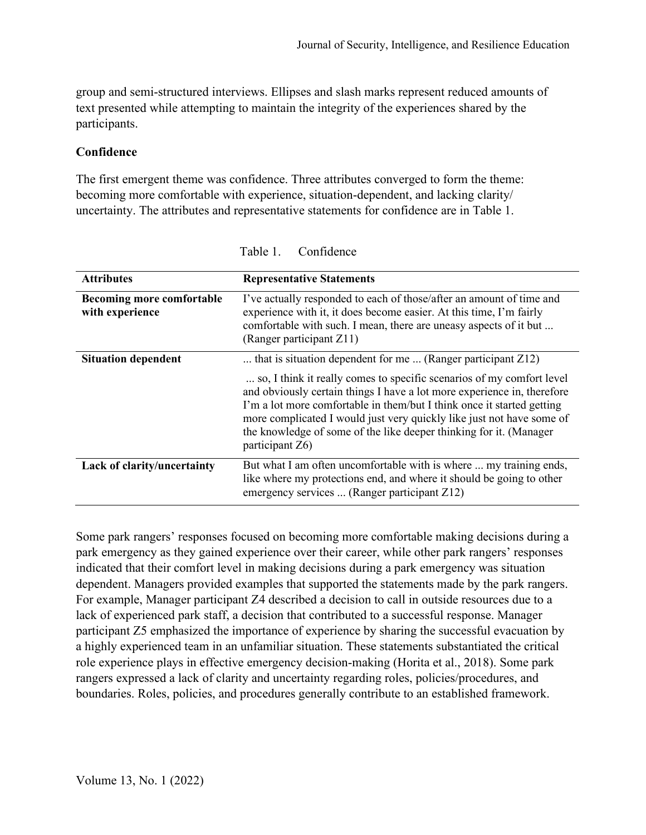group and semi-structured interviews. Ellipses and slash marks represent reduced amounts of text presented while attempting to maintain the integrity of the experiences shared by the participants.

## **Confidence**

The first emergent theme was confidence. Three attributes converged to form the theme: becoming more comfortable with experience, situation-dependent, and lacking clarity/ uncertainty. The attributes and representative statements for confidence are in Table 1.

| <b>Attributes</b>                                   | <b>Representative Statements</b>                                                                                                                                                                                                                                                                                                                                                             |
|-----------------------------------------------------|----------------------------------------------------------------------------------------------------------------------------------------------------------------------------------------------------------------------------------------------------------------------------------------------------------------------------------------------------------------------------------------------|
| <b>Becoming more comfortable</b><br>with experience | I've actually responded to each of those/after an amount of time and<br>experience with it, it does become easier. At this time, I'm fairly<br>comfortable with such. I mean, there are uneasy aspects of it but<br>(Ranger participant Z11)                                                                                                                                                 |
| <b>Situation dependent</b>                          | that is situation dependent for me  (Ranger participant $Z12$ )                                                                                                                                                                                                                                                                                                                              |
|                                                     | so, I think it really comes to specific scenarios of my comfort level<br>and obviously certain things I have a lot more experience in, therefore<br>I'm a lot more comfortable in them/but I think once it started getting<br>more complicated I would just very quickly like just not have some of<br>the knowledge of some of the like deeper thinking for it. (Manager<br>participant Z6) |
| Lack of clarity/uncertainty                         | But what I am often uncomfortable with is where  my training ends,<br>like where my protections end, and where it should be going to other<br>emergency services  (Ranger participant $Z12$ )                                                                                                                                                                                                |

Table 1. Confidence

Some park rangers' responses focused on becoming more comfortable making decisions during a park emergency as they gained experience over their career, while other park rangers' responses indicated that their comfort level in making decisions during a park emergency was situation dependent. Managers provided examples that supported the statements made by the park rangers. For example, Manager participant Z4 described a decision to call in outside resources due to a lack of experienced park staff, a decision that contributed to a successful response. Manager participant Z5 emphasized the importance of experience by sharing the successful evacuation by a highly experienced team in an unfamiliar situation. These statements substantiated the critical role experience plays in effective emergency decision-making (Horita et al., 2018). Some park rangers expressed a lack of clarity and uncertainty regarding roles, policies/procedures, and boundaries. Roles, policies, and procedures generally contribute to an established framework.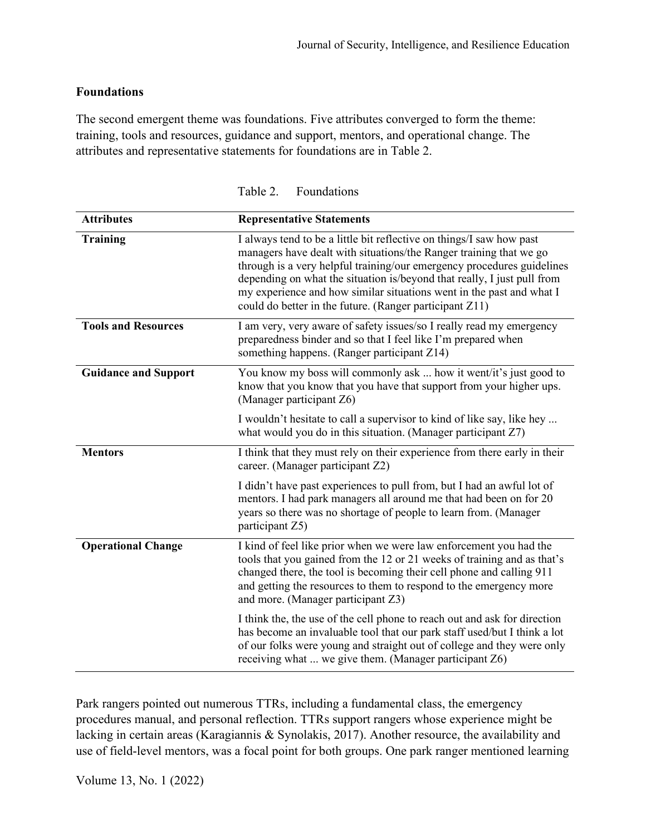# **Foundations**

The second emergent theme was foundations. Five attributes converged to form the theme: training, tools and resources, guidance and support, mentors, and operational change. The attributes and representative statements for foundations are in Table 2.

| <b>Attributes</b>           | <b>Representative Statements</b>                                                                                                                                                                                                                                                                                                                                                                                                   |
|-----------------------------|------------------------------------------------------------------------------------------------------------------------------------------------------------------------------------------------------------------------------------------------------------------------------------------------------------------------------------------------------------------------------------------------------------------------------------|
| <b>Training</b>             | I always tend to be a little bit reflective on things/I saw how past<br>managers have dealt with situations/the Ranger training that we go<br>through is a very helpful training/our emergency procedures guidelines<br>depending on what the situation is/beyond that really, I just pull from<br>my experience and how similar situations went in the past and what I<br>could do better in the future. (Ranger participant Z11) |
| <b>Tools and Resources</b>  | I am very, very aware of safety issues/so I really read my emergency<br>preparedness binder and so that I feel like I'm prepared when<br>something happens. (Ranger participant Z14)                                                                                                                                                                                                                                               |
| <b>Guidance and Support</b> | You know my boss will commonly ask  how it went/it's just good to<br>know that you know that you have that support from your higher ups.<br>(Manager participant Z6)                                                                                                                                                                                                                                                               |
|                             | I wouldn't hesitate to call a supervisor to kind of like say, like hey<br>what would you do in this situation. (Manager participant $Z7$ )                                                                                                                                                                                                                                                                                         |
| <b>Mentors</b>              | I think that they must rely on their experience from there early in their<br>career. (Manager participant Z2)                                                                                                                                                                                                                                                                                                                      |
|                             | I didn't have past experiences to pull from, but I had an awful lot of<br>mentors. I had park managers all around me that had been on for 20<br>years so there was no shortage of people to learn from. (Manager<br>participant Z5)                                                                                                                                                                                                |
| <b>Operational Change</b>   | I kind of feel like prior when we were law enforcement you had the<br>tools that you gained from the 12 or 21 weeks of training and as that's<br>changed there, the tool is becoming their cell phone and calling 911<br>and getting the resources to them to respond to the emergency more<br>and more. (Manager participant Z3)                                                                                                  |
|                             | I think the, the use of the cell phone to reach out and ask for direction<br>has become an invaluable tool that our park staff used/but I think a lot<br>of our folks were young and straight out of college and they were only<br>receiving what  we give them. (Manager participant Z6)                                                                                                                                          |

Table 2. Foundations

Park rangers pointed out numerous TTRs, including a fundamental class, the emergency procedures manual, and personal reflection. TTRs support rangers whose experience might be lacking in certain areas (Karagiannis & Synolakis, 2017). Another resource, the availability and use of field-level mentors, was a focal point for both groups. One park ranger mentioned learning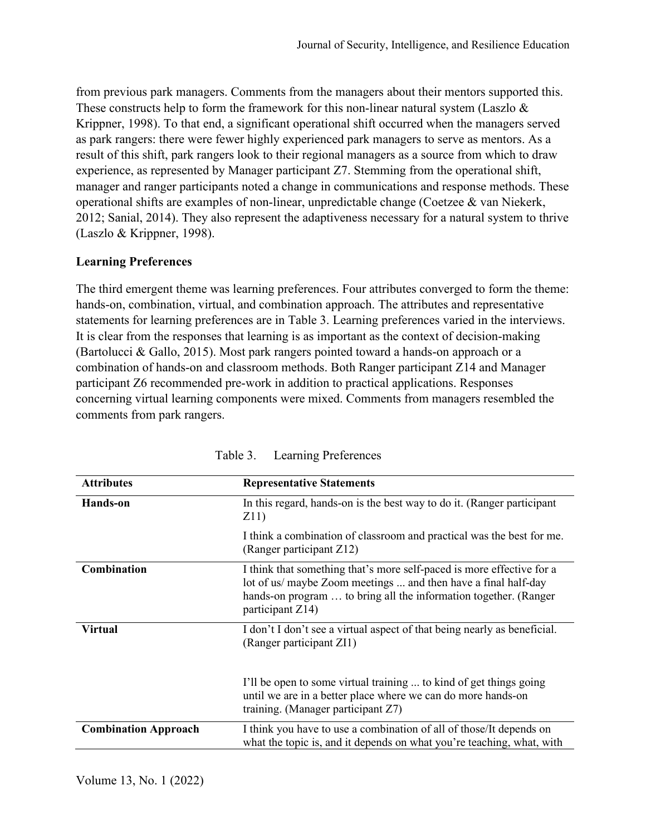from previous park managers. Comments from the managers about their mentors supported this. These constructs help to form the framework for this non-linear natural system (Laszlo  $\&$ Krippner, 1998). To that end, a significant operational shift occurred when the managers served as park rangers: there were fewer highly experienced park managers to serve as mentors. As a result of this shift, park rangers look to their regional managers as a source from which to draw experience, as represented by Manager participant Z7. Stemming from the operational shift, manager and ranger participants noted a change in communications and response methods. These operational shifts are examples of non-linear, unpredictable change (Coetzee & van Niekerk, 2012; Sanial, 2014). They also represent the adaptiveness necessary for a natural system to thrive (Laszlo & Krippner, 1998).

#### **Learning Preferences**

The third emergent theme was learning preferences. Four attributes converged to form the theme: hands-on, combination, virtual, and combination approach. The attributes and representative statements for learning preferences are in Table 3. Learning preferences varied in the interviews. It is clear from the responses that learning is as important as the context of decision-making (Bartolucci & Gallo, 2015). Most park rangers pointed toward a hands-on approach or a combination of hands-on and classroom methods. Both Ranger participant Z14 and Manager participant Z6 recommended pre-work in addition to practical applications. Responses concerning virtual learning components were mixed. Comments from managers resembled the comments from park rangers.

| <b>Attributes</b>           | <b>Representative Statements</b>                                                                                                                                                                                                |
|-----------------------------|---------------------------------------------------------------------------------------------------------------------------------------------------------------------------------------------------------------------------------|
| Hands-on                    | In this regard, hands-on is the best way to do it. (Ranger participant<br>Z11)                                                                                                                                                  |
|                             | I think a combination of classroom and practical was the best for me.<br>(Ranger participant Z12)                                                                                                                               |
| <b>Combination</b>          | I think that something that's more self-paced is more effective for a<br>lot of us/ maybe Zoom meetings  and then have a final half-day<br>hands-on program  to bring all the information together. (Ranger<br>participant Z14) |
| <b>Virtual</b>              | I don't I don't see a virtual aspect of that being nearly as beneficial.<br>(Ranger participant ZI1)                                                                                                                            |
|                             | I'll be open to some virtual training  to kind of get things going<br>until we are in a better place where we can do more hands-on<br>training. (Manager participant Z7)                                                        |
| <b>Combination Approach</b> | I think you have to use a combination of all of those/It depends on<br>what the topic is, and it depends on what you're teaching, what, with                                                                                    |

Table 3. Learning Preferences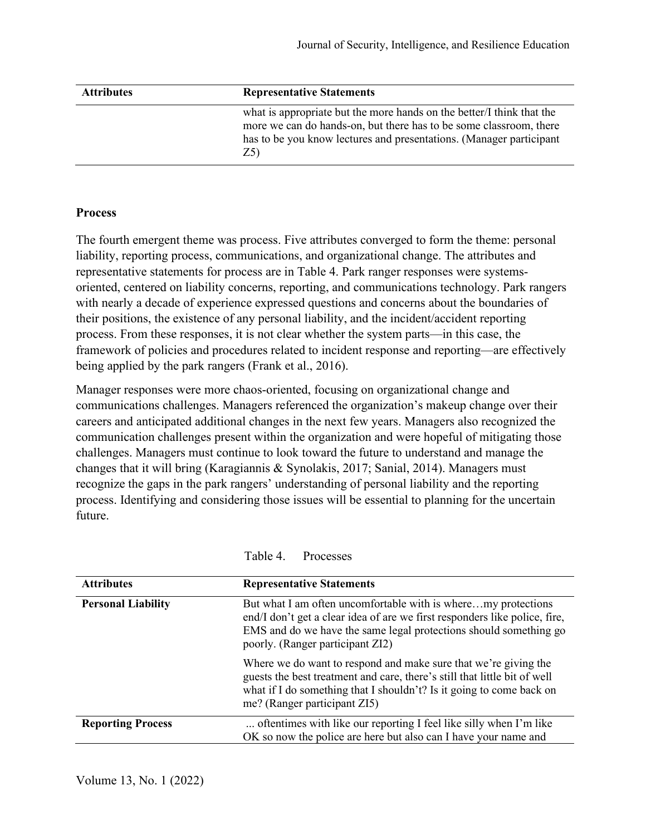| <b>Attributes</b> | <b>Representative Statements</b>                                                                                                                                                                                           |
|-------------------|----------------------------------------------------------------------------------------------------------------------------------------------------------------------------------------------------------------------------|
|                   | what is appropriate but the more hands on the better. I think that the<br>more we can do hands-on, but there has to be some classroom, there<br>has to be you know lectures and presentations. (Manager participant<br>Z5) |

#### **Process**

The fourth emergent theme was process. Five attributes converged to form the theme: personal liability, reporting process, communications, and organizational change. The attributes and representative statements for process are in Table 4. Park ranger responses were systemsoriented, centered on liability concerns, reporting, and communications technology. Park rangers with nearly a decade of experience expressed questions and concerns about the boundaries of their positions, the existence of any personal liability, and the incident/accident reporting process. From these responses, it is not clear whether the system parts—in this case, the framework of policies and procedures related to incident response and reporting—are effectively being applied by the park rangers (Frank et al., 2016).

Manager responses were more chaos-oriented, focusing on organizational change and communications challenges. Managers referenced the organization's makeup change over their careers and anticipated additional changes in the next few years. Managers also recognized the communication challenges present within the organization and were hopeful of mitigating those challenges. Managers must continue to look toward the future to understand and manage the changes that it will bring (Karagiannis & Synolakis, 2017; Sanial, 2014). Managers must recognize the gaps in the park rangers' understanding of personal liability and the reporting process. Identifying and considering those issues will be essential to planning for the uncertain future.

| <b>Attributes</b>         | <b>Representative Statements</b>                                                                                                                                                                                                                     |
|---------------------------|------------------------------------------------------------------------------------------------------------------------------------------------------------------------------------------------------------------------------------------------------|
| <b>Personal Liability</b> | But what I am often uncomfortable with is wheremy protections<br>end/I don't get a clear idea of are we first responders like police, fire,<br>EMS and do we have the same legal protections should something go<br>poorly. (Ranger participant ZI2) |
|                           | Where we do want to respond and make sure that we're giving the<br>guests the best treatment and care, there's still that little bit of well<br>what if I do something that I shouldn't? Is it going to come back on<br>me? (Ranger participant ZI5) |
| <b>Reporting Process</b>  | oftentimes with like our reporting I feel like silly when I'm like<br>OK so now the police are here but also can I have your name and                                                                                                                |

Table 4. Processes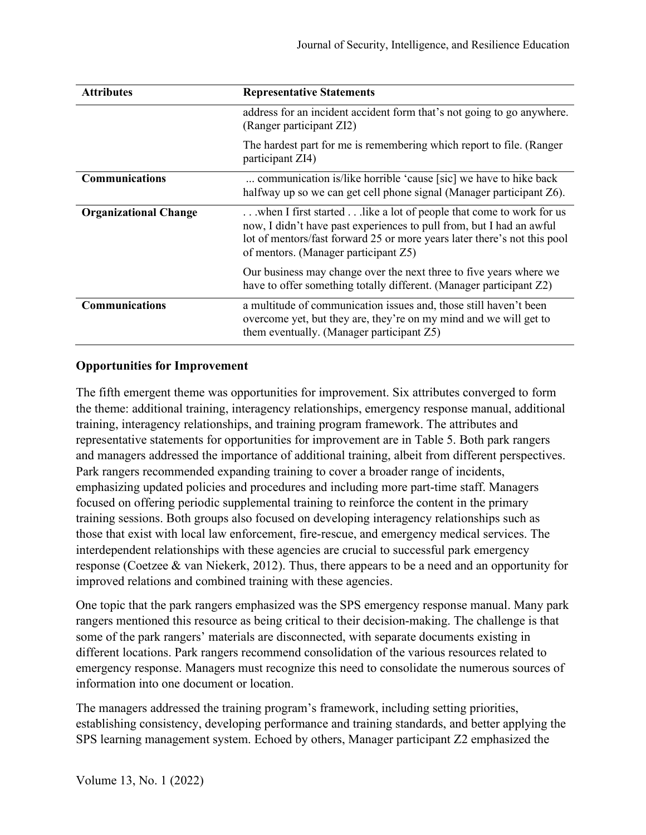| <b>Attributes</b>            | <b>Representative Statements</b>                                                                                                                                                                                                                                |
|------------------------------|-----------------------------------------------------------------------------------------------------------------------------------------------------------------------------------------------------------------------------------------------------------------|
|                              | address for an incident accident form that's not going to go anywhere.<br>(Ranger participant ZI2)                                                                                                                                                              |
|                              | The hardest part for me is remembering which report to file. (Ranger<br>participant ZI4)                                                                                                                                                                        |
| <b>Communications</b>        | communication is/like horrible 'cause [sic] we have to hike back<br>halfway up so we can get cell phone signal (Manager participant Z6).                                                                                                                        |
| <b>Organizational Change</b> | when I first started  like a lot of people that come to work for us<br>now, I didn't have past experiences to pull from, but I had an awful<br>lot of mentors/fast forward 25 or more years later there's not this pool<br>of mentors. (Manager participant Z5) |
|                              | Our business may change over the next three to five years where we<br>have to offer something totally different. (Manager participant Z2)                                                                                                                       |
| <b>Communications</b>        | a multitude of communication issues and, those still haven't been<br>overcome yet, but they are, they're on my mind and we will get to<br>them eventually. (Manager participant Z5)                                                                             |

# **Opportunities for Improvement**

The fifth emergent theme was opportunities for improvement. Six attributes converged to form the theme: additional training, interagency relationships, emergency response manual, additional training, interagency relationships, and training program framework. The attributes and representative statements for opportunities for improvement are in Table 5. Both park rangers and managers addressed the importance of additional training, albeit from different perspectives. Park rangers recommended expanding training to cover a broader range of incidents, emphasizing updated policies and procedures and including more part-time staff. Managers focused on offering periodic supplemental training to reinforce the content in the primary training sessions. Both groups also focused on developing interagency relationships such as those that exist with local law enforcement, fire-rescue, and emergency medical services. The interdependent relationships with these agencies are crucial to successful park emergency response (Coetzee & van Niekerk, 2012). Thus, there appears to be a need and an opportunity for improved relations and combined training with these agencies.

One topic that the park rangers emphasized was the SPS emergency response manual. Many park rangers mentioned this resource as being critical to their decision-making. The challenge is that some of the park rangers' materials are disconnected, with separate documents existing in different locations. Park rangers recommend consolidation of the various resources related to emergency response. Managers must recognize this need to consolidate the numerous sources of information into one document or location.

The managers addressed the training program's framework, including setting priorities, establishing consistency, developing performance and training standards, and better applying the SPS learning management system. Echoed by others, Manager participant Z2 emphasized the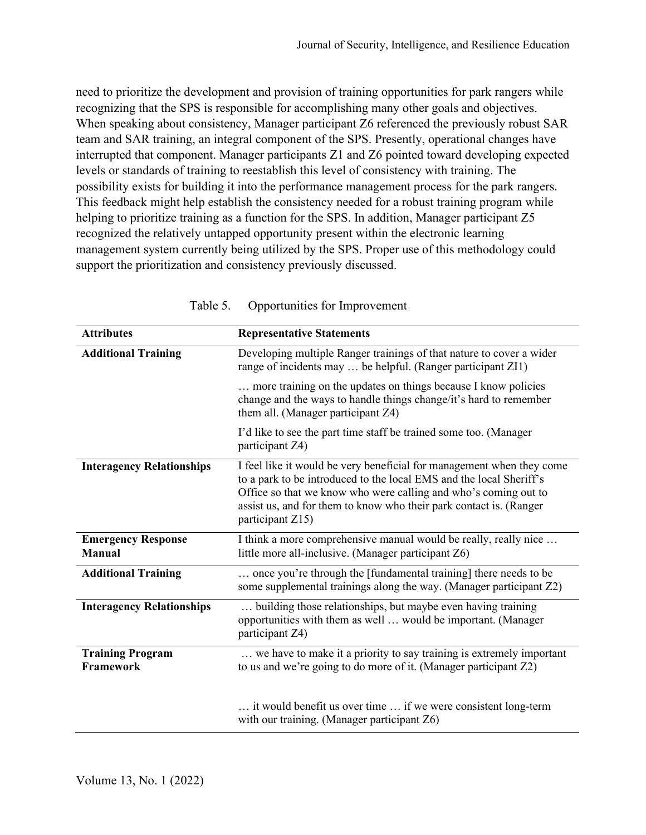need to prioritize the development and provision of training opportunities for park rangers while recognizing that the SPS is responsible for accomplishing many other goals and objectives. When speaking about consistency, Manager participant Z6 referenced the previously robust SAR team and SAR training, an integral component of the SPS. Presently, operational changes have interrupted that component. Manager participants Z1 and Z6 pointed toward developing expected levels or standards of training to reestablish this level of consistency with training. The possibility exists for building it into the performance management process for the park rangers. This feedback might help establish the consistency needed for a robust training program while helping to prioritize training as a function for the SPS. In addition, Manager participant Z5 recognized the relatively untapped opportunity present within the electronic learning management system currently being utilized by the SPS. Proper use of this methodology could support the prioritization and consistency previously discussed.

| <b>Attributes</b>                           | <b>Representative Statements</b>                                                                                                                                                                                                                                                                          |
|---------------------------------------------|-----------------------------------------------------------------------------------------------------------------------------------------------------------------------------------------------------------------------------------------------------------------------------------------------------------|
| <b>Additional Training</b>                  | Developing multiple Ranger trainings of that nature to cover a wider<br>range of incidents may  be helpful. (Ranger participant ZI1)                                                                                                                                                                      |
|                                             | more training on the updates on things because I know policies<br>change and the ways to handle things change/it's hard to remember<br>them all. (Manager participant Z4)                                                                                                                                 |
|                                             | I'd like to see the part time staff be trained some too. (Manager<br>participant Z4)                                                                                                                                                                                                                      |
| <b>Interagency Relationships</b>            | I feel like it would be very beneficial for management when they come<br>to a park to be introduced to the local EMS and the local Sheriff's<br>Office so that we know who were calling and who's coming out to<br>assist us, and for them to know who their park contact is. (Ranger<br>participant Z15) |
| <b>Emergency Response</b><br><b>Manual</b>  | I think a more comprehensive manual would be really, really nice<br>little more all-inclusive. (Manager participant Z6)                                                                                                                                                                                   |
| <b>Additional Training</b>                  | once you're through the [fundamental training] there needs to be<br>some supplemental trainings along the way. (Manager participant Z2)                                                                                                                                                                   |
| <b>Interagency Relationships</b>            | building those relationships, but maybe even having training<br>opportunities with them as well  would be important. (Manager<br>participant Z4)                                                                                                                                                          |
| <b>Training Program</b><br><b>Framework</b> | we have to make it a priority to say training is extremely important<br>to us and we're going to do more of it. (Manager participant Z2)                                                                                                                                                                  |
|                                             | it would benefit us over time  if we were consistent long-term<br>with our training. (Manager participant Z6)                                                                                                                                                                                             |

Table 5. Opportunities for Improvement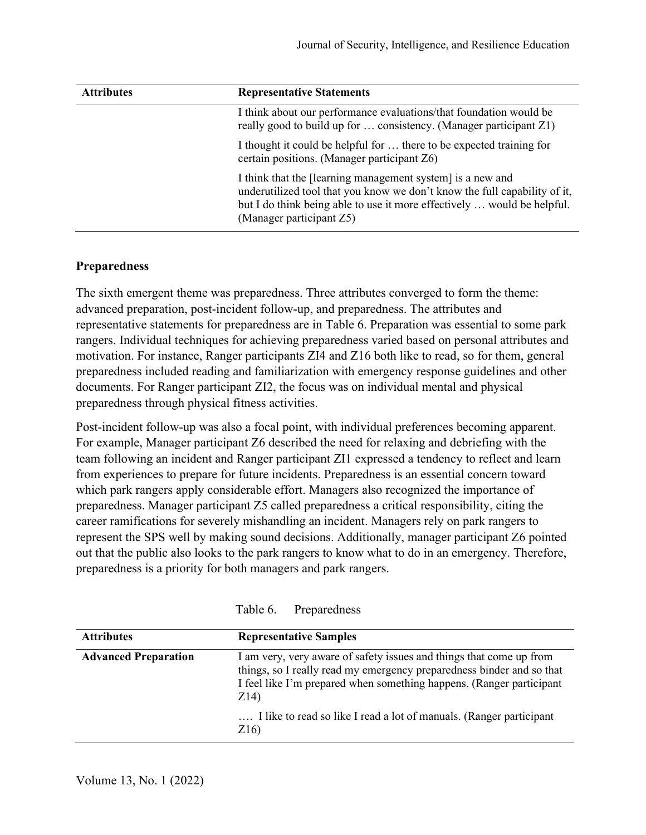| <b>Attributes</b> | <b>Representative Statements</b>                                                                                                                                                                                                               |
|-------------------|------------------------------------------------------------------------------------------------------------------------------------------------------------------------------------------------------------------------------------------------|
|                   | I think about our performance evaluations/that foundation would be<br>really good to build up for  consistency. (Manager participant Z1)                                                                                                       |
|                   | I thought it could be helpful for  there to be expected training for<br>certain positions. (Manager participant Z6)                                                                                                                            |
|                   | I think that the [learning management system] is a new and<br>underutilized tool that you know we don't know the full capability of it,<br>but I do think being able to use it more effectively  would be helpful.<br>(Manager participant Z5) |

#### **Preparedness**

The sixth emergent theme was preparedness. Three attributes converged to form the theme: advanced preparation, post-incident follow-up, and preparedness. The attributes and representative statements for preparedness are in Table 6. Preparation was essential to some park rangers. Individual techniques for achieving preparedness varied based on personal attributes and motivation. For instance, Ranger participants ZI4 and Z16 both like to read, so for them, general preparedness included reading and familiarization with emergency response guidelines and other documents. For Ranger participant ZI2, the focus was on individual mental and physical preparedness through physical fitness activities.

Post-incident follow-up was also a focal point, with individual preferences becoming apparent. For example, Manager participant Z6 described the need for relaxing and debriefing with the team following an incident and Ranger participant ZI1 expressed a tendency to reflect and learn from experiences to prepare for future incidents. Preparedness is an essential concern toward which park rangers apply considerable effort. Managers also recognized the importance of preparedness. Manager participant Z5 called preparedness a critical responsibility, citing the career ramifications for severely mishandling an incident. Managers rely on park rangers to represent the SPS well by making sound decisions. Additionally, manager participant Z6 pointed out that the public also looks to the park rangers to know what to do in an emergency. Therefore, preparedness is a priority for both managers and park rangers.

| <b>Attributes</b>           | <b>Representative Samples</b>                                                                                                                                                                                                |
|-----------------------------|------------------------------------------------------------------------------------------------------------------------------------------------------------------------------------------------------------------------------|
| <b>Advanced Preparation</b> | I am very, very aware of safety issues and things that come up from<br>things, so I really read my emergency preparedness binder and so that<br>I feel like I'm prepared when something happens. (Ranger participant<br>Z14) |
|                             | I like to read so like I read a lot of manuals. (Ranger participant<br>Z <sub>16</sub> )                                                                                                                                     |

Table 6. Preparedness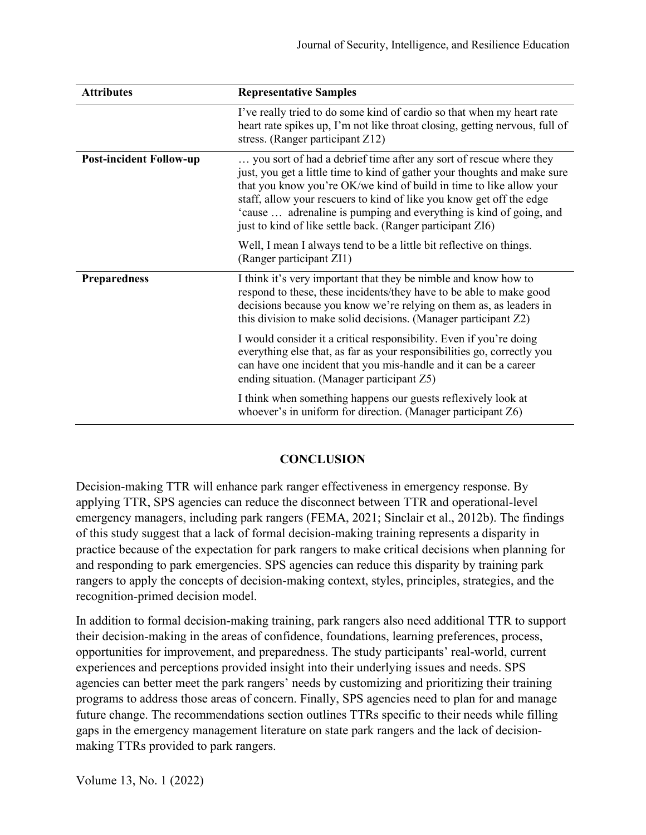| <b>Attributes</b>              | <b>Representative Samples</b>                                                                                                                                                                                                                                                                                                                                                                                                      |
|--------------------------------|------------------------------------------------------------------------------------------------------------------------------------------------------------------------------------------------------------------------------------------------------------------------------------------------------------------------------------------------------------------------------------------------------------------------------------|
|                                | I've really tried to do some kind of cardio so that when my heart rate<br>heart rate spikes up, I'm not like throat closing, getting nervous, full of<br>stress. (Ranger participant Z12)                                                                                                                                                                                                                                          |
| <b>Post-incident Follow-up</b> | you sort of had a debrief time after any sort of rescue where they<br>just, you get a little time to kind of gather your thoughts and make sure<br>that you know you're OK/we kind of build in time to like allow your<br>staff, allow your rescuers to kind of like you know get off the edge<br>'cause  adrenaline is pumping and everything is kind of going, and<br>just to kind of like settle back. (Ranger participant ZI6) |
|                                | Well, I mean I always tend to be a little bit reflective on things.<br>(Ranger participant ZI1)                                                                                                                                                                                                                                                                                                                                    |
| <b>Preparedness</b>            | I think it's very important that they be nimble and know how to<br>respond to these, these incidents/they have to be able to make good<br>decisions because you know we're relying on them as, as leaders in<br>this division to make solid decisions. (Manager participant Z2)                                                                                                                                                    |
|                                | I would consider it a critical responsibility. Even if you're doing<br>everything else that, as far as your responsibilities go, correctly you<br>can have one incident that you mis-handle and it can be a career<br>ending situation. (Manager participant Z5)                                                                                                                                                                   |
|                                | I think when something happens our guests reflexively look at<br>whoever's in uniform for direction. (Manager participant Z6)                                                                                                                                                                                                                                                                                                      |

# **CONCLUSION**

Decision-making TTR will enhance park ranger effectiveness in emergency response. By applying TTR, SPS agencies can reduce the disconnect between TTR and operational-level emergency managers, including park rangers (FEMA, 2021; Sinclair et al., 2012b). The findings of this study suggest that a lack of formal decision-making training represents a disparity in practice because of the expectation for park rangers to make critical decisions when planning for and responding to park emergencies. SPS agencies can reduce this disparity by training park rangers to apply the concepts of decision-making context, styles, principles, strategies, and the recognition-primed decision model.

In addition to formal decision-making training, park rangers also need additional TTR to support their decision-making in the areas of confidence, foundations, learning preferences, process, opportunities for improvement, and preparedness. The study participants' real-world, current experiences and perceptions provided insight into their underlying issues and needs. SPS agencies can better meet the park rangers' needs by customizing and prioritizing their training programs to address those areas of concern. Finally, SPS agencies need to plan for and manage future change. The recommendations section outlines TTRs specific to their needs while filling gaps in the emergency management literature on state park rangers and the lack of decisionmaking TTRs provided to park rangers.

Volume 13, No. 1 (2022)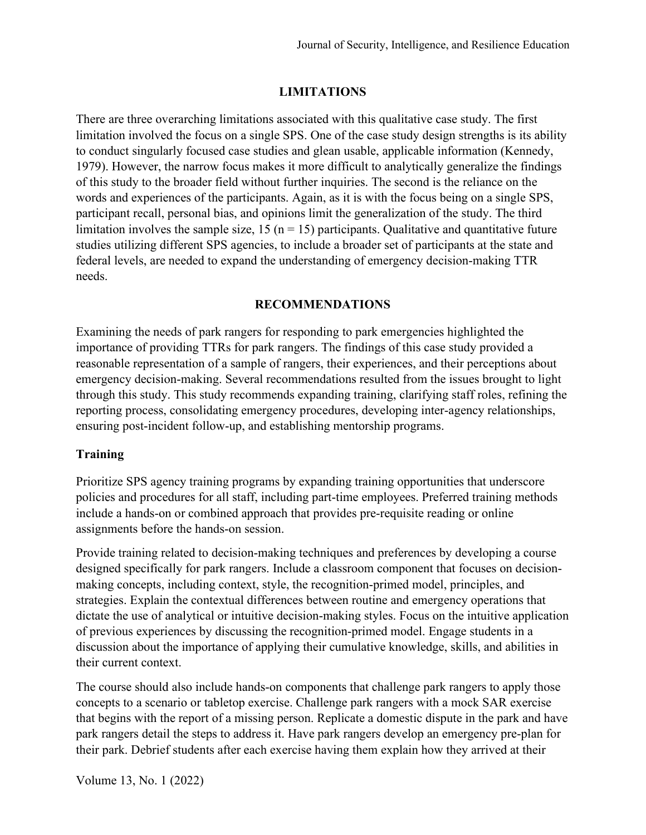# **LIMITATIONS**

There are three overarching limitations associated with this qualitative case study. The first limitation involved the focus on a single SPS. One of the case study design strengths is its ability to conduct singularly focused case studies and glean usable, applicable information (Kennedy, 1979). However, the narrow focus makes it more difficult to analytically generalize the findings of this study to the broader field without further inquiries. The second is the reliance on the words and experiences of the participants. Again, as it is with the focus being on a single SPS, participant recall, personal bias, and opinions limit the generalization of the study. The third limitation involves the sample size,  $15$  (n = 15) participants. Qualitative and quantitative future studies utilizing different SPS agencies, to include a broader set of participants at the state and federal levels, are needed to expand the understanding of emergency decision-making TTR needs.

# **RECOMMENDATIONS**

Examining the needs of park rangers for responding to park emergencies highlighted the importance of providing TTRs for park rangers. The findings of this case study provided a reasonable representation of a sample of rangers, their experiences, and their perceptions about emergency decision-making. Several recommendations resulted from the issues brought to light through this study. This study recommends expanding training, clarifying staff roles, refining the reporting process, consolidating emergency procedures, developing inter-agency relationships, ensuring post-incident follow-up, and establishing mentorship programs.

# **Training**

Prioritize SPS agency training programs by expanding training opportunities that underscore policies and procedures for all staff, including part-time employees. Preferred training methods include a hands-on or combined approach that provides pre-requisite reading or online assignments before the hands-on session.

Provide training related to decision-making techniques and preferences by developing a course designed specifically for park rangers. Include a classroom component that focuses on decisionmaking concepts, including context, style, the recognition-primed model, principles, and strategies. Explain the contextual differences between routine and emergency operations that dictate the use of analytical or intuitive decision-making styles. Focus on the intuitive application of previous experiences by discussing the recognition-primed model. Engage students in a discussion about the importance of applying their cumulative knowledge, skills, and abilities in their current context.

The course should also include hands-on components that challenge park rangers to apply those concepts to a scenario or tabletop exercise. Challenge park rangers with a mock SAR exercise that begins with the report of a missing person. Replicate a domestic dispute in the park and have park rangers detail the steps to address it. Have park rangers develop an emergency pre-plan for their park. Debrief students after each exercise having them explain how they arrived at their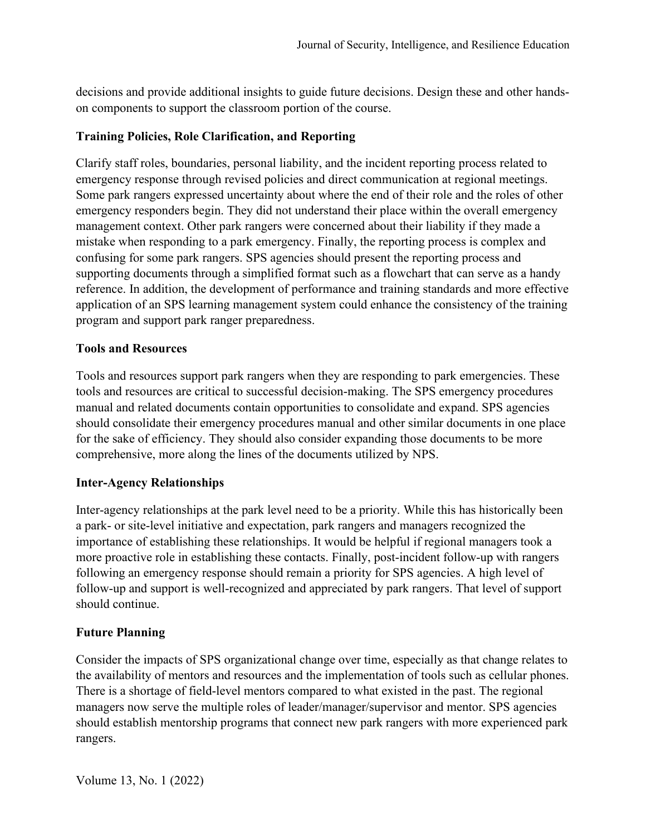decisions and provide additional insights to guide future decisions. Design these and other handson components to support the classroom portion of the course.

# **Training Policies, Role Clarification, and Reporting**

Clarify staff roles, boundaries, personal liability, and the incident reporting process related to emergency response through revised policies and direct communication at regional meetings. Some park rangers expressed uncertainty about where the end of their role and the roles of other emergency responders begin. They did not understand their place within the overall emergency management context. Other park rangers were concerned about their liability if they made a mistake when responding to a park emergency. Finally, the reporting process is complex and confusing for some park rangers. SPS agencies should present the reporting process and supporting documents through a simplified format such as a flowchart that can serve as a handy reference. In addition, the development of performance and training standards and more effective application of an SPS learning management system could enhance the consistency of the training program and support park ranger preparedness.

#### **Tools and Resources**

Tools and resources support park rangers when they are responding to park emergencies. These tools and resources are critical to successful decision-making. The SPS emergency procedures manual and related documents contain opportunities to consolidate and expand. SPS agencies should consolidate their emergency procedures manual and other similar documents in one place for the sake of efficiency. They should also consider expanding those documents to be more comprehensive, more along the lines of the documents utilized by NPS.

# **Inter-Agency Relationships**

Inter-agency relationships at the park level need to be a priority. While this has historically been a park- or site-level initiative and expectation, park rangers and managers recognized the importance of establishing these relationships. It would be helpful if regional managers took a more proactive role in establishing these contacts. Finally, post-incident follow-up with rangers following an emergency response should remain a priority for SPS agencies. A high level of follow-up and support is well-recognized and appreciated by park rangers. That level of support should continue.

# **Future Planning**

Consider the impacts of SPS organizational change over time, especially as that change relates to the availability of mentors and resources and the implementation of tools such as cellular phones. There is a shortage of field-level mentors compared to what existed in the past. The regional managers now serve the multiple roles of leader/manager/supervisor and mentor. SPS agencies should establish mentorship programs that connect new park rangers with more experienced park rangers.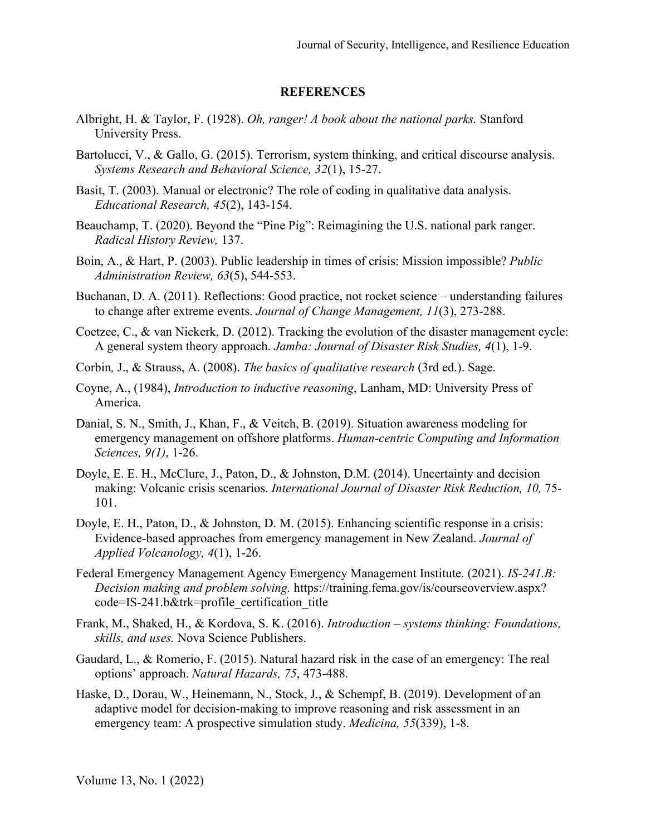#### **REFERENCES**

- Albright, H. & Taylor, F. (1928). *Oh, ranger! A book about the national parks.* Stanford University Press.
- Bartolucci, V., & Gallo, G. (2015). Terrorism, system thinking, and critical discourse analysis. *Systems Research and Behavioral Science, 32*(1), 15-27.
- Basit, T. (2003). Manual or electronic? The role of coding in qualitative data analysis. *Educational Research, 45*(2), 143-154.
- Beauchamp, T. (2020). Beyond the "Pine Pig": Reimagining the U.S. national park ranger. *Radical History Review,* 137.
- Boin, A., & Hart, P. (2003). Public leadership in times of crisis: Mission impossible? *Public Administration Review, 63*(5), 544-553.
- Buchanan, D. A. (2011). Reflections: Good practice, not rocket science understanding failures to change after extreme events. *Journal of Change Management, 11*(3), 273-288.
- Coetzee, C., & van Niekerk, D. (2012). Tracking the evolution of the disaster management cycle: A general system theory approach. *Jamba: Journal of Disaster Risk Studies, 4*(1), 1-9.
- Corbin*,* J., & Strauss, A. (2008). *The basics of qualitative research* (3rd ed.). Sage.
- Coyne, A., (1984), *Introduction to inductive reasoning*, Lanham, MD: University Press of America.
- Danial, S. N., Smith, J., Khan, F., & Veitch, B. (2019). Situation awareness modeling for emergency management on offshore platforms. *Human-centric Computing and Information Sciences, 9(1)*, 1-26.
- Doyle, E. E. H., McClure, J., Paton, D., & Johnston, D.M. (2014). Uncertainty and decision making: Volcanic crisis scenarios. *International Journal of Disaster Risk Reduction, 10,* 75- 101.
- Doyle, E. H., Paton, D., & Johnston, D. M. (2015). Enhancing scientific response in a crisis: Evidence-based approaches from emergency management in New Zealand. *Journal of Applied Volcanology, 4*(1), 1-26.
- Federal Emergency Management Agency Emergency Management Institute. (2021). *IS-241.B: Decision making and problem solving.* https://training.fema.gov/is/courseoverview.aspx? code=IS-241.b&trk=profile\_certification\_title
- Frank, M., Shaked, H., & Kordova, S. K. (2016). *Introduction – systems thinking: Foundations, skills, and uses.* Nova Science Publishers.
- Gaudard, L., & Romerio, F. (2015). Natural hazard risk in the case of an emergency: The real options' approach. *Natural Hazards, 75*, 473-488.
- Haske, D., Dorau, W., Heinemann, N., Stock, J., & Schempf, B. (2019). Development of an adaptive model for decision-making to improve reasoning and risk assessment in an emergency team: A prospective simulation study. *Medicina, 55*(339), 1-8.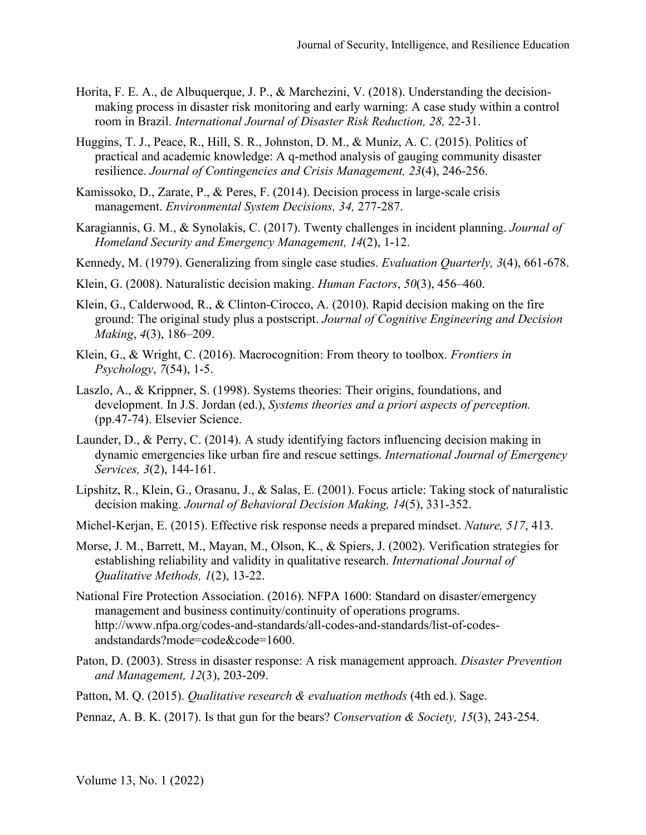- Horita, F. E. A., de Albuquerque, J. P., & Marchezini, V. (2018). Understanding the decisionmaking process in disaster risk monitoring and early warning: A case study within a control room in Brazil. *International Journal of Disaster Risk Reduction, 28,* 22-31.
- Huggins, T. J., Peace, R., Hill, S. R., Johnston, D. M., & Muniz, A. C. (2015). Politics of practical and academic knowledge: A q-method analysis of gauging community disaster resilience. *Journal of Contingencies and Crisis Management, 23*(4), 246-256.
- Kamissoko, D., Zarate, P., & Peres, F. (2014). Decision process in large-scale crisis management. *Environmental System Decisions, 34,* 277-287.
- Karagiannis, G. M., & Synolakis, C. (2017). Twenty challenges in incident planning. *Journal of Homeland Security and Emergency Management, 14*(2), 1-12.
- Kennedy, M. (1979). Generalizing from single case studies. *Evaluation Quarterly, 3*(4), 661-678.
- Klein, G. (2008). Naturalistic decision making. *Human Factors*, *50*(3), 456–460.
- Klein, G., Calderwood, R., & Clinton-Cirocco, A. (2010). Rapid decision making on the fire ground: The original study plus a postscript. *Journal of Cognitive Engineering and Decision Making*, *4*(3), 186–209.
- Klein, G., & Wright, C. (2016). Macrocognition: From theory to toolbox. *Frontiers in Psychology*, *7*(54), 1-5.
- Laszlo, A., & Krippner, S. (1998). Systems theories: Their origins, foundations, and development. In J.S. Jordan (ed.), *Systems theories and a priori aspects of perception.*  (pp.47-74). Elsevier Science.
- Launder, D., & Perry, C. (2014). A study identifying factors influencing decision making in dynamic emergencies like urban fire and rescue settings. *International Journal of Emergency Services, 3*(2), 144-161.
- Lipshitz, R., Klein, G., Orasanu, J., & Salas, E. (2001). Focus article: Taking stock of naturalistic decision making. *Journal of Behavioral Decision Making, 14*(5), 331-352.
- Michel-Kerjan, E. (2015). Effective risk response needs a prepared mindset. *Nature, 517*, 413.
- Morse, J. M., Barrett, M., Mayan, M., Olson, K., & Spiers, J. (2002). Verification strategies for establishing reliability and validity in qualitative research. *International Journal of Qualitative Methods, 1*(2), 13-22.
- National Fire Protection Association. (2016). NFPA 1600: Standard on disaster/emergency management and business continuity/continuity of operations programs. http://www.nfpa.org/codes-and-standards/all-codes-and-standards/list-of-codesandstandards?mode=code&code=1600.
- Paton, D. (2003). Stress in disaster response: A risk management approach. *Disaster Prevention and Management, 12*(3), 203-209.
- Patton, M. Q. (2015). *Qualitative research & evaluation methods* (4th ed.). Sage.
- Pennaz, A. B. K. (2017). Is that gun for the bears? *Conservation & Society, 15*(3), 243-254.